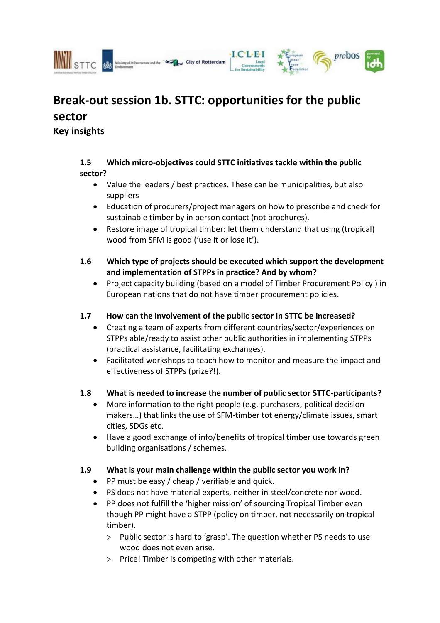



City of Rotterdam

## **1.5 Which micro-objectives could STTC initiatives tackle within the public sector?**

- Value the leaders / best practices. These can be municipalities, but also suppliers
- Education of procurers/project managers on how to prescribe and check for sustainable timber by in person contact (not brochures).
- Restore image of tropical timber: let them understand that using (tropical) wood from SFM is good ('use it or lose it').
- **1.6 Which type of projects should be executed which support the development and implementation of STPPs in practice? And by whom?**
	- Project capacity building (based on a model of Timber Procurement Policy ) in European nations that do not have timber procurement policies.

## **1.7 How can the involvement of the public sector in STTC be increased?**

- Creating a team of experts from different countries/sector/experiences on STPPs able/ready to assist other public authorities in implementing STPPs (practical assistance, facilitating exchanges).
- Facilitated workshops to teach how to monitor and measure the impact and effectiveness of STPPs (prize?!).

## **1.8 What is needed to increase the number of public sector STTC-participants?**

- More information to the right people (e.g. purchasers, political decision makers…) that links the use of SFM-timber tot energy/climate issues, smart cities, SDGs etc.
- Have a good exchange of info/benefits of tropical timber use towards green building organisations / schemes.

## **1.9 What is your main challenge within the public sector you work in?**

- PP must be easy / cheap / verifiable and quick.
- PS does not have material experts, neither in steel/concrete nor wood.
- PP does not fulfill the 'higher mission' of sourcing Tropical Timber even though PP might have a STPP (policy on timber, not necessarily on tropical timber).
	- $>$  Public sector is hard to 'grasp'. The question whether PS needs to use wood does not even arise.
	- $>$  Price! Timber is competing with other materials.